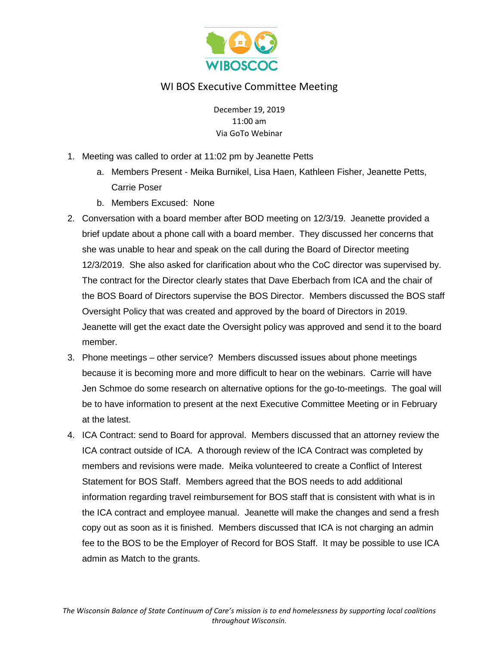

## WI BOS Executive Committee Meeting

December 19, 2019 11:00 am Via GoTo Webinar

- 1. Meeting was called to order at 11:02 pm by Jeanette Petts
	- a. Members Present Meika Burnikel, Lisa Haen, Kathleen Fisher, Jeanette Petts, Carrie Poser
	- b. Members Excused: None
- 2. Conversation with a board member after BOD meeting on 12/3/19. Jeanette provided a brief update about a phone call with a board member. They discussed her concerns that she was unable to hear and speak on the call during the Board of Director meeting 12/3/2019. She also asked for clarification about who the CoC director was supervised by. The contract for the Director clearly states that Dave Eberbach from ICA and the chair of the BOS Board of Directors supervise the BOS Director. Members discussed the BOS staff Oversight Policy that was created and approved by the board of Directors in 2019. Jeanette will get the exact date the Oversight policy was approved and send it to the board member.
- 3. Phone meetings other service? Members discussed issues about phone meetings because it is becoming more and more difficult to hear on the webinars. Carrie will have Jen Schmoe do some research on alternative options for the go-to-meetings. The goal will be to have information to present at the next Executive Committee Meeting or in February at the latest.
- 4. ICA Contract: send to Board for approval. Members discussed that an attorney review the ICA contract outside of ICA. A thorough review of the ICA Contract was completed by members and revisions were made. Meika volunteered to create a Conflict of Interest Statement for BOS Staff. Members agreed that the BOS needs to add additional information regarding travel reimbursement for BOS staff that is consistent with what is in the ICA contract and employee manual. Jeanette will make the changes and send a fresh copy out as soon as it is finished. Members discussed that ICA is not charging an admin fee to the BOS to be the Employer of Record for BOS Staff. It may be possible to use ICA admin as Match to the grants.